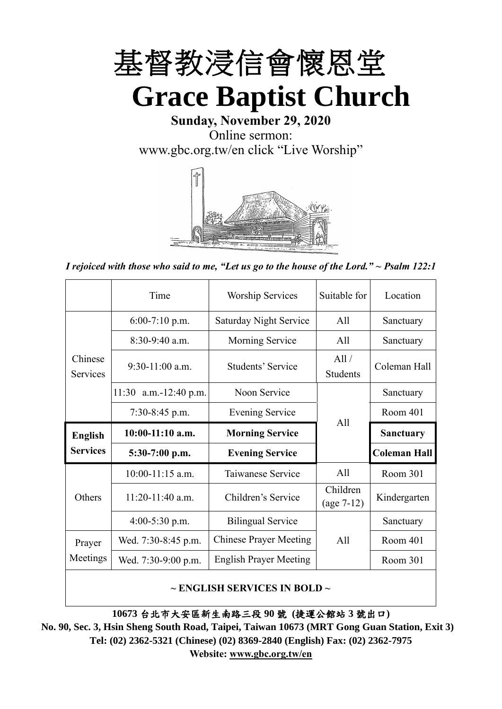

**Sunday, November 29, 2020** Online sermon: [www.gbc.org.tw/en](http://www.gbc.org.tw/en) click "Live Worship"



*I rejoiced with those who said to me, "Let us go to the house of the Lord." ~ Psalm 122:1*

|                            | Time                                   | <b>Worship Services</b>       | Suitable for             | Location            |
|----------------------------|----------------------------------------|-------------------------------|--------------------------|---------------------|
|                            | $6:00-7:10$ p.m.                       | <b>Saturday Night Service</b> | A11                      | Sanctuary           |
|                            | $8:30-9:40$ a.m.                       | Morning Service               | All                      | Sanctuary           |
| Chinese<br><b>Services</b> | $9:30-11:00$ a.m.<br>Students' Service |                               | All /<br><b>Students</b> | Coleman Hall        |
|                            | 11:30 a.m.-12:40 p.m.                  | Noon Service                  |                          | Sanctuary           |
|                            | $7:30-8:45$ p.m.                       | <b>Evening Service</b>        | All                      | Room 401            |
|                            |                                        |                               |                          |                     |
| <b>English</b>             | $10:00-11:10$ a.m.                     | <b>Morning Service</b>        |                          | <b>Sanctuary</b>    |
| <b>Services</b>            | 5:30-7:00 p.m.                         | <b>Evening Service</b>        |                          | <b>Coleman Hall</b> |
|                            | $10:00-11:15$ a.m.                     | Taiwanese Service             | A11                      | Room 301            |
| Others                     | $11:20-11:40$ a.m.                     | Children's Service            | Children<br>$(age 7-12)$ | Kindergarten        |
|                            | $4:00-5:30$ p.m.                       | <b>Bilingual Service</b>      |                          | Sanctuary           |
| Prayer                     | Wed. 7:30-8:45 p.m.                    | <b>Chinese Prayer Meeting</b> | A11                      | Room 401            |
| Meetings                   | Wed. 7:30-9:00 p.m.                    | <b>English Prayer Meeting</b> |                          | Room 301            |

#### **~ ENGLISH SERVICES IN BOLD ~**

**10673** 台北市大安區新生南路三段 **90** 號 **(**捷運公館站 **3** 號出口**)**

**No. 90, Sec. 3, Hsin Sheng South Road, Taipei, Taiwan 10673 (MRT Gong Guan Station, Exit 3) Tel: (02) 2362-5321 (Chinese) (02) 8369-2840 (English) Fax: (02) 2362-7975 Website: [www.gbc.org.tw/en](http://www.gbc.org.tw/en)**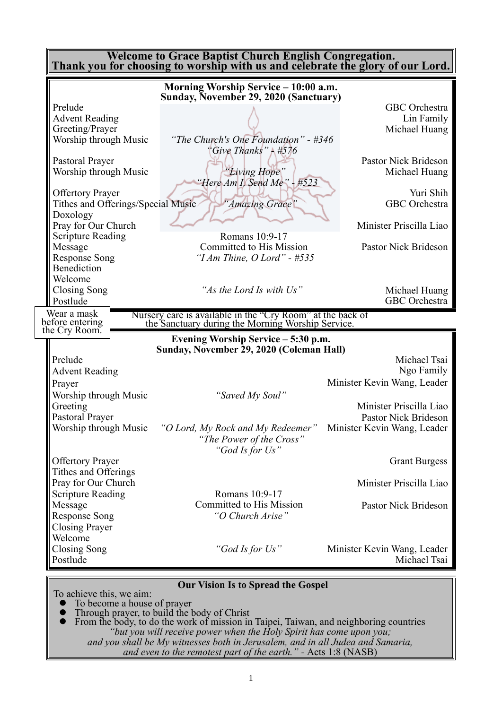| <b>Welcome to Grace Baptist Church English Congregation.</b><br>Thank you for choosing to worship with us and celebrate the glory of our Lord. |                                                                                                                 |                                             |  |  |  |  |
|------------------------------------------------------------------------------------------------------------------------------------------------|-----------------------------------------------------------------------------------------------------------------|---------------------------------------------|--|--|--|--|
|                                                                                                                                                | Morning Worship Service - 10:00 a.m.                                                                            |                                             |  |  |  |  |
|                                                                                                                                                | Sunday, November 29, 2020 (Sanctuary)                                                                           |                                             |  |  |  |  |
| Prelude                                                                                                                                        |                                                                                                                 | <b>GBC</b> Orchestra                        |  |  |  |  |
| <b>Advent Reading</b>                                                                                                                          |                                                                                                                 | Lin Family                                  |  |  |  |  |
| Greeting/Prayer                                                                                                                                |                                                                                                                 | Michael Huang                               |  |  |  |  |
| Worship through Music                                                                                                                          | "The Church's One Foundation" - #346<br>"Give Thanks" - $#576$                                                  |                                             |  |  |  |  |
| Pastoral Prayer                                                                                                                                |                                                                                                                 | <b>Pastor Nick Brideson</b>                 |  |  |  |  |
| Worship through Music                                                                                                                          | "Living Hope"<br>"Here Am I, Send Me" - #523                                                                    | Michael Huang                               |  |  |  |  |
| <b>Offertory Prayer</b>                                                                                                                        |                                                                                                                 | Yuri Shih                                   |  |  |  |  |
| Tithes and Offerings/Special Music                                                                                                             | 'Amazing Grace'                                                                                                 | GBC Orchestra                               |  |  |  |  |
| Doxology                                                                                                                                       |                                                                                                                 |                                             |  |  |  |  |
| Pray for Our Church                                                                                                                            |                                                                                                                 | Minister Priscilla Liao                     |  |  |  |  |
| <b>Scripture Reading</b>                                                                                                                       | Romans 10:9-17                                                                                                  |                                             |  |  |  |  |
| Message                                                                                                                                        | Committed to His Mission                                                                                        | Pastor Nick Brideson                        |  |  |  |  |
| <b>Response Song</b>                                                                                                                           | "I Am Thine, $O$ Lord" - $\#535$                                                                                |                                             |  |  |  |  |
| Benediction                                                                                                                                    |                                                                                                                 |                                             |  |  |  |  |
| Welcome                                                                                                                                        |                                                                                                                 |                                             |  |  |  |  |
| Closing Song                                                                                                                                   | "As the Lord Is with Us"                                                                                        | Michael Huang                               |  |  |  |  |
| Postlude                                                                                                                                       |                                                                                                                 | <b>GBC</b> Orchestra                        |  |  |  |  |
| Wear a mask<br>before entering                                                                                                                 | Nursery care is available in the "Cry Room" at the back of<br>the Sanctuary during the Morning Worship Service. |                                             |  |  |  |  |
| the Cry Room.                                                                                                                                  |                                                                                                                 |                                             |  |  |  |  |
|                                                                                                                                                | Evening Worship Service – 5:30 p.m.                                                                             |                                             |  |  |  |  |
|                                                                                                                                                | Sunday, November 29, 2020 (Coleman Hall)                                                                        |                                             |  |  |  |  |
| Prelude                                                                                                                                        |                                                                                                                 | Michael Tsai                                |  |  |  |  |
| <b>Advent Reading</b>                                                                                                                          |                                                                                                                 | Ngo Family                                  |  |  |  |  |
| Prayer                                                                                                                                         |                                                                                                                 | Minister Kevin Wang, Leader                 |  |  |  |  |
| Worship through Music                                                                                                                          | "Saved My Soul"                                                                                                 |                                             |  |  |  |  |
| Greeting                                                                                                                                       |                                                                                                                 | Minister Priscilla Liao                     |  |  |  |  |
| <b>Pastoral Praver</b>                                                                                                                         |                                                                                                                 | Pastor Nick Brideson                        |  |  |  |  |
| Worship through Music                                                                                                                          | "O Lord, My Rock and My Redeemer"<br>"The Power of the Cross"<br>"God Is for Us"                                | Minister Kevin Wang, Leader                 |  |  |  |  |
| <b>Offertory Prayer</b>                                                                                                                        |                                                                                                                 | <b>Grant Burgess</b>                        |  |  |  |  |
| Tithes and Offerings                                                                                                                           |                                                                                                                 |                                             |  |  |  |  |
| Pray for Our Church                                                                                                                            |                                                                                                                 | Minister Priscilla Liao                     |  |  |  |  |
| <b>Scripture Reading</b>                                                                                                                       | Romans 10:9-17                                                                                                  |                                             |  |  |  |  |
| Message                                                                                                                                        | Committed to His Mission                                                                                        | <b>Pastor Nick Brideson</b>                 |  |  |  |  |
| <b>Response Song</b>                                                                                                                           | "O Church Arise"                                                                                                |                                             |  |  |  |  |
| <b>Closing Prayer</b>                                                                                                                          |                                                                                                                 |                                             |  |  |  |  |
| Welcome                                                                                                                                        |                                                                                                                 |                                             |  |  |  |  |
| <b>Closing Song</b><br>Postlude                                                                                                                | "God Is for Us"                                                                                                 | Minister Kevin Wang, Leader<br>Michael Tsai |  |  |  |  |
|                                                                                                                                                |                                                                                                                 |                                             |  |  |  |  |
|                                                                                                                                                | <b>Our Vision Is to Spread the Gospel</b>                                                                       |                                             |  |  |  |  |

To achieve this, we aim:

- ⚫ To become a house of prayer
- ⚫ Through prayer, to build the body of Christ
- ⚫ From the body, to do the work of mission in Taipei, Taiwan, and neighboring countries *"but you will receive power when the Holy Spirit has come upon you; and you shall be My witnesses both in Jerusalem, and in all Judea and Samaria, and even to the remotest part of the earth." -* Acts 1:8 (NASB)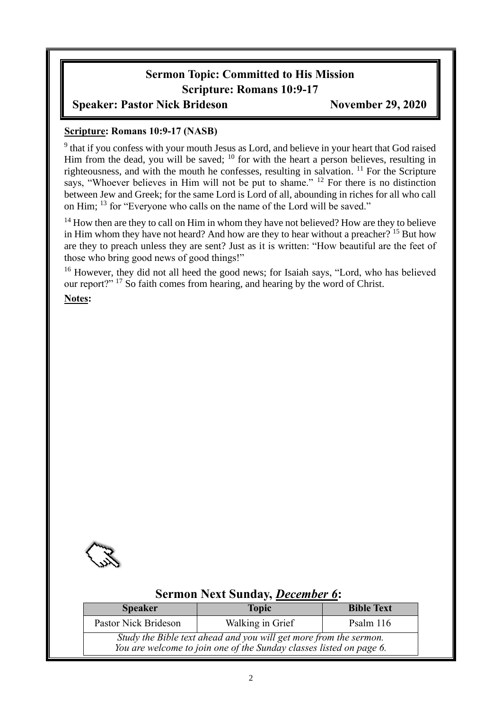# **Sermon Topic: Committed to His Mission Scripture: Romans 10:9-17**

## **Speaker: Pastor Nick Brideson November 29, 2020**

#### **Scripture: Romans 10:9-17 (NASB)**

<sup>9</sup> that if you confess with your mouth Jesus as Lord, and believe in your heart that God raised Him from the dead, you will be saved; <sup>10</sup> for with the heart a person believes, resulting in righteousness, and with the mouth he confesses, resulting in salvation.  $11$  For the Scripture says, "Whoever believes in Him will not be put to shame." <sup>12</sup> For there is no distinction between Jew and Greek; for the same Lord is Lord of all, abounding in riches for all who call on Him; <sup>13</sup> for "Everyone who calls on the name of the Lord will be saved."

<sup>14</sup> How then are they to call on Him in whom they have not believed? How are they to believe in Him whom they have not heard? And how are they to hear without a preacher? <sup>15</sup> But how are they to preach unless they are sent? Just as it is written: "How beautiful are the feet of those who bring good news of good things!"

<sup>16</sup> However, they did not all heed the good news; for Isaiah says, "Lord, who has believed our report?" <sup>17</sup> So faith comes from hearing, and hearing by the word of Christ.

**Notes:**



## **Sermon Next Sunday,** *December 6***:**

| <b>Speaker</b>                                                                                                                           | <b>Topic</b>     | <b>Bible Text</b> |  |  |
|------------------------------------------------------------------------------------------------------------------------------------------|------------------|-------------------|--|--|
| Pastor Nick Brideson                                                                                                                     | Walking in Grief | Psalm $116$       |  |  |
| Study the Bible text ahead and you will get more from the sermon.<br>You are welcome to join one of the Sunday classes listed on page 6. |                  |                   |  |  |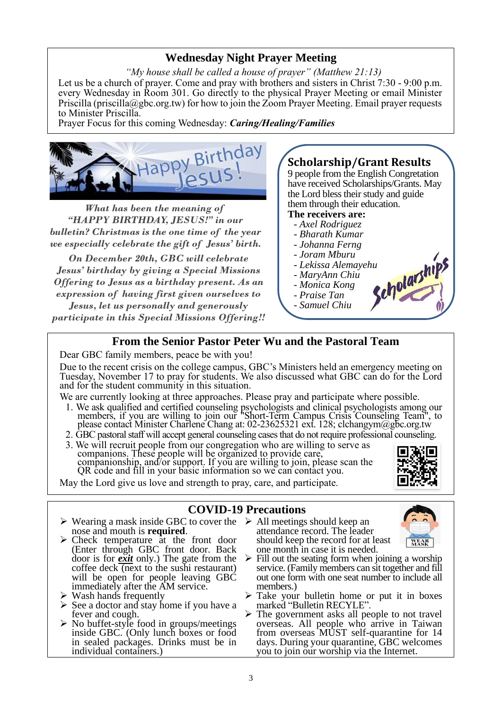## **Wednesday Night Prayer Meeting**

*"My house shall be called a house of prayer" (Matthew 21:13)* Let us be a church of prayer. Come and pray with brothers and sisters in Christ 7:30 - 9:00 p.m. every Wednesday in Room 301. Go directly to the physical Prayer Meeting or email Minister Priscilla (priscilla@gbc.org.tw) for how to join the Zoom Prayer Meeting. Email prayer requests to Minister Priscilla.

Prayer Focus for this coming Wednesday: *Caring/Healing/Families*



What has been the meaning of "HAPPY BIRTHDAY, JESUS!" in our bulletin? Christmas is the one time of the year we especially celebrate the gift of Jesus' birth.

On December 20th, GBC will celebrate Jesus' birthday by giving a Special Missions Offering to Jesus as a birthday present. As an expression of having first given ourselves to

**Jesus, let us personally and generously** participate in this Special Missions Offering!!

# **Scholarship/Grant Results**

9 people from the English Congretation have received Scholarships/Grants. May the Lord bless their study and guide them through their education.

#### **The receivers are:**

- *- Axel Rodriguez*
- *- Bharath Kumar*
- *- Johanna Ferng*
- *- Joram Mburu*
- **-** *Lekissa Alemayehu*<br> **-** *MaryAnn Chiu*<br>
 *Monica Kong*<br>
 *Praise Tan*<br>
 *Sarri*
- *- MaryAnn Chiu*
- *- Monica Kong*
- *- Praise Tan*
- *- Samuel Chiu*

#### **From the Senior Pastor Peter Wu and the Pastoral Team**

Dear GBC family members, peace be with you!

Due to the recent crisis on the college campus, GBC's Ministers held an emergency meeting on Tuesday, November 17 to pray for students. We also discussed what GBC can do for the Lord and for the student community in this situation.

We are currently looking at three approaches. Please pray and participate where possible.

- 1. We ask qualified and certified counseling psychologists and clinical psychologists among our members, if you are willing to join our "Short-Term Campus Crisis Counseling Team", to please contact Minister Charlene Chang at: 02-23625321 ext. 128; clchangym@gbc.org.tw
- 2. GBC pastoral staff will accept general counseling cases that do not require professional counseling.
- 3. We will recruit people from our congregation who are willing to serve as companions. These people will be organized to provide care, companionship, and/or support. If you are willing to join, please scan the QR code and fill in your basic information so we can contact you.

May the Lord give us love and strength to pray, care, and participate.

#### **COVID-19 Precautions**

- ➢ Wearing a mask inside GBC to cover the ➢ All meetings should keep an nose and mouth is **required**.
- ➢ Check temperature at the front door (Enter through GBC front door. Back door is for *exit* only.) The gate from the coffee deck (next to the sushi restaurant) will be open for people leaving GBC immediately after the AM service.
- $\triangleright$  Wash hands frequently
- ➢ See a doctor and stay home if you have a fever and cough.
- ➢ No buffet-style food in groups/meetings inside GBC. (Only lunch boxes or food in sealed packages. Drinks must be in individual containers.)
- attendance record. The leader should keep the record for at least one month in case it is needed.



- $\triangleright$  Fill out the seating form when joining a worship service. (Family members can sit together and fill out one form with one seat number to include all members.)
- Take your bulletin home or put it in boxes marked "Bulletin RECYLE".
- ➢ The government asks all people to not travel overseas. All people who arrive in Taiwan from overseas MUST self-quarantine for 14 days. During your quarantine, GBC welcomes you to join our worship via the Internet.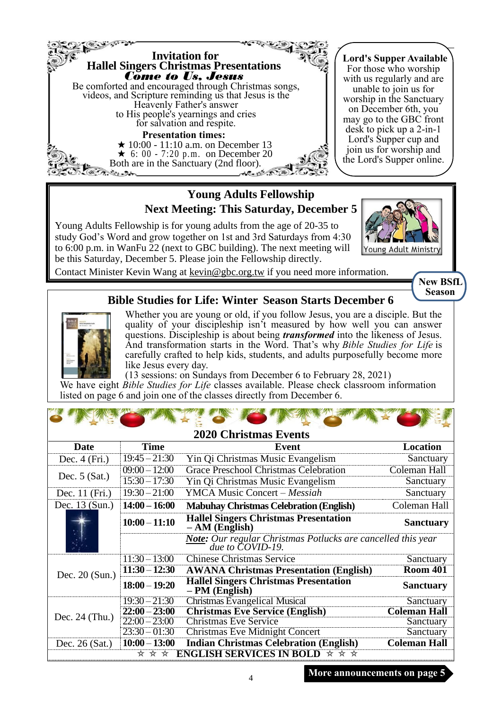

## **Young Adults Fellowship Next Meeting: This Saturday, December 5**

Young Adults Fellowship is for young adults from the age of 20-35 to study God's Word and grow together on 1st and 3rd Saturdays from 4:30 to 6:00 p.m. in WanFu 22 (next to GBC building). The next meeting will be this Saturday, December 5. Please join the Fellowship directly.



Contact Minister Kevin Wang at kevin@gbc.org.tw if you need more information.

**New BSfL Season**

#### **Bible Studies for Life: Winter Season Starts December 6**



Whether you are young or old, if you follow Jesus, you are a disciple. But the quality of your discipleship isn't measured by how well you can answer questions. Discipleship is about being *transformed* into the likeness of Jesus. And transformation starts in the Word. That's why *Bible Studies for Life* is carefully crafted to help kids, students, and adults purposefully become more like Jesus every day.

(13 sessions: on Sundays from December 6 to February 28, 2021) We have eight *Bible Studies for Life* classes available. Please check classroom information listed on page 6 and join one of the classes directly from December 6.

| <b>2020 Christmas Events</b> |                 |                                                                                                       |                     |  |  |
|------------------------------|-----------------|-------------------------------------------------------------------------------------------------------|---------------------|--|--|
| Date                         | <b>Time</b>     | <b>Event</b>                                                                                          | <b>Location</b>     |  |  |
| Dec. $4(Fri.)$               | $19:45 - 21:30$ | Yin Qi Christmas Music Evangelism                                                                     | Sanctuary           |  |  |
|                              | $09:00 - 12:00$ | <b>Grace Preschool Christmas Celebration</b>                                                          | Coleman Hall        |  |  |
| Dec. $5$ (Sat.)              | $15:30 - 17:30$ | Yin Qi Christmas Music Evangelism                                                                     | Sanctuary           |  |  |
| Dec. 11 (Fri.)               | $19:30 - 21:00$ | <b>YMCA Music Concert – Messiah</b>                                                                   | Sanctuary           |  |  |
| Dec. 13 (Sun.)               | $14:00 - 16:00$ | <b>Mabuhay Christmas Celebration (English)</b>                                                        | Coleman Hall        |  |  |
|                              | $10:00 - 11:10$ | <b>Hallel Singers Christmas Presentation</b><br>$- AM$ (English)                                      | <b>Sanctuary</b>    |  |  |
|                              |                 | <b>Note:</b> Our regular Christmas Potlucks are cancelled this year<br>due to $\overline{COVID-19}$ . |                     |  |  |
|                              | $11:30 - 13:00$ | <b>Chinese Christmas Service</b>                                                                      | Sanctuary           |  |  |
| Dec. $20$ (Sun.)             | $11:30 - 12:30$ | <b>AWANA Christmas Presentation (English)</b>                                                         | <b>Room 401</b>     |  |  |
|                              | $18:00 - 19:20$ | <b>Hallel Singers Christmas Presentation</b><br>$-PM$ (English)                                       | <b>Sanctuary</b>    |  |  |
|                              | $19:30 - 21:30$ | <b>Christmas Evangelical Musical</b>                                                                  | Sanctuary           |  |  |
| Dec. $24$ (Thu.)             | $22:00 - 23:00$ | <b>Christmas Eve Service (English)</b>                                                                | <b>Coleman Hall</b> |  |  |
|                              | $22:00 - 23:00$ | <b>Christmas Eve Service</b>                                                                          | Sanctuary           |  |  |
|                              | $23:30 - 01:30$ | <b>Christmas Eve Midnight Concert</b>                                                                 | Sanctuary           |  |  |
| Dec. $26$ (Sat.)             | $10:00 - 13:00$ | <b>Indian Christmas Celebration (English)</b>                                                         | <b>Coleman Hall</b> |  |  |
|                              | * * *           | <b>ENGLISH SERVICES IN BOLD <math>\star \star \star</math></b>                                        |                     |  |  |

**More announcements on page 5**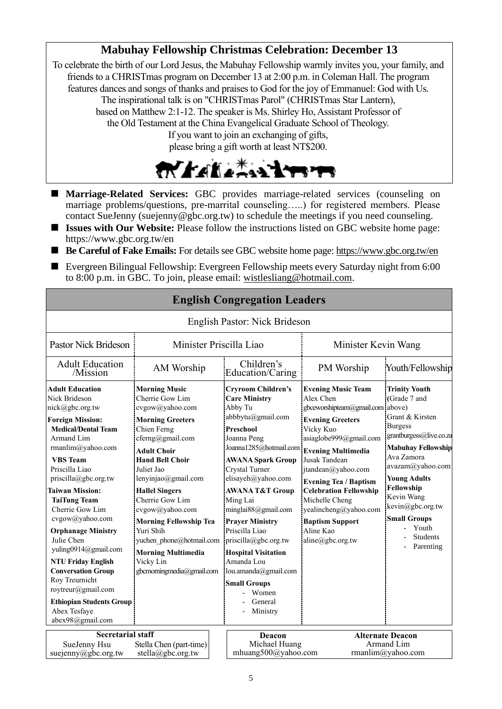# **Mabuhay Fellowship Christmas Celebration: December 13**

To celebrate the birth of our Lord Jesus, the Mabuhay Fellowship warmly invites you, your family, and friends to a CHRISTmas program on December 13 at 2:00 p.m. in Coleman Hall. The program features dances and songs of thanks and praises to God for the joy of Emmanuel: God with Us. The inspirational talk is on "CHRISTmas Parol" (CHRISTmas Star Lantern), based on Matthew 2:1-12. The speaker is Ms. Shirley Ho, Assistant Professor of the Old Testament at the China Evangelical Graduate School of Theology. If you want to join an exchanging of gifts, please bring a gift worth at least NT\$200.



- Marriage-Related Services: GBC provides marriage-related services (counseling on marriage problems/questions, pre-marrital counseling…..) for registered members. Please contact SueJenny (suejenny@gbc.org.tw) to schedule the meetings if you need counseling.
- **Issues with Our Website:** Please follow the instructions listed on GBC website home page: https://www.gbc.org.tw/en
- **Be Careful of Fake Emails:** For details see GBC website home page[: https://www.gbc.org.tw/en](https://www.gbc.org.tw/en)
- Evergreen Bilingual Fellowship: Evergreen Fellowship meets every Saturday night from 6:00 to 8:00 p.m. in GBC. To join, please email: [wistlesliang@hotmail.com.](mailto:wistlesliang@hotmail.com)

**English Congregation Leaders**

| English Pastor: Nick Brideson                                                                                                                                                                                                                                                                                                                                                                                                                                                                                                                          |                                                                                                                                                                                                                                                                                                                                                                                                                               |                                                                                                                                                                                                                                                                                                                                                                                                                                                                                                |                                                                                                                                                                                                                                                                                                                                                            |                                                                                                                                                                                                                                                                                                            |  |
|--------------------------------------------------------------------------------------------------------------------------------------------------------------------------------------------------------------------------------------------------------------------------------------------------------------------------------------------------------------------------------------------------------------------------------------------------------------------------------------------------------------------------------------------------------|-------------------------------------------------------------------------------------------------------------------------------------------------------------------------------------------------------------------------------------------------------------------------------------------------------------------------------------------------------------------------------------------------------------------------------|------------------------------------------------------------------------------------------------------------------------------------------------------------------------------------------------------------------------------------------------------------------------------------------------------------------------------------------------------------------------------------------------------------------------------------------------------------------------------------------------|------------------------------------------------------------------------------------------------------------------------------------------------------------------------------------------------------------------------------------------------------------------------------------------------------------------------------------------------------------|------------------------------------------------------------------------------------------------------------------------------------------------------------------------------------------------------------------------------------------------------------------------------------------------------------|--|
| Pastor Nick Brideson                                                                                                                                                                                                                                                                                                                                                                                                                                                                                                                                   | Minister Priscilla Liao                                                                                                                                                                                                                                                                                                                                                                                                       |                                                                                                                                                                                                                                                                                                                                                                                                                                                                                                | Minister Kevin Wang                                                                                                                                                                                                                                                                                                                                        |                                                                                                                                                                                                                                                                                                            |  |
| <b>Adult Education</b><br>/Mission                                                                                                                                                                                                                                                                                                                                                                                                                                                                                                                     | AM Worship                                                                                                                                                                                                                                                                                                                                                                                                                    | Children's<br>Education/Caring                                                                                                                                                                                                                                                                                                                                                                                                                                                                 | PM Worship                                                                                                                                                                                                                                                                                                                                                 | Youth/Fellowship                                                                                                                                                                                                                                                                                           |  |
| <b>Adult Education</b><br>Nick Brideson<br>nick@gbc.org.tw<br><b>Foreign Mission:</b><br><b>Medical/Dental Team</b><br>Armand Lim<br>rmanlim@yahoo.com<br><b>VBS</b> Team<br>Priscilla Liao<br>priscilla@gbc.org.tw<br><b>Taiwan Mission:</b><br><b>TaiTung Team</b><br>Cherrie Gow Lim<br>cvgow@yahoo.com<br><b>Orphanage Ministry</b><br>Julie Chen<br>yuling0914@gmail.com<br><b>NTU Friday English</b><br><b>Conversation Group</b><br>Roy Treurnicht<br>roytreur@gmail.com<br><b>Ethiopian Students Group</b><br>Abex Tesfaye<br>abex98@gmail.com | <b>Morning Music</b><br>Cherrie Gow Lim<br>cvgow@yahoo.com<br><b>Morning Greeters</b><br>Chien Ferng<br>cferng@gmail.com<br><b>Adult Choir</b><br><b>Hand Bell Choir</b><br>Juliet Jao<br>lenyinjao@gmail.com<br><b>Hallel Singers</b><br>Cherrie Gow Lim<br>cvgow@yahoo.com<br><b>Morning Fellowship Tea</b><br>Yuri Shih<br>yuchen phone@hotmail.com<br><b>Morning Multimedia</b><br>Vicky Lin<br>gbcmorningmedia@gmail.com | <b>Cryroom Children's</b><br><b>Care Ministry</b><br>Abby Tu<br>abbbytu@gmail.com<br>Preschool<br>Joanna Peng<br>Joanna1285@hotmail.com Evening Multimedia<br><b>AWANA Spark Group</b><br>Crystal Turner<br>elisayeh@yahoo.com<br><b>AWANA T&amp;T Group</b><br>Ming Lai<br>minglai88@gmail.com<br><b>Prayer Ministry</b><br>Priscilla Liao<br>priscilla@gbc.org.tw<br><b>Hospital Visitation</b><br>Amanda Lou<br>lou.amanda@gmail.com<br><b>Small Groups</b><br>Women<br>General<br>Ministry | <b>Evening Music Team</b><br>Alex Chen<br>gbceworshipteam@gmail.com above)<br><b>Evening Greeters</b><br>Vicky Kuo<br>asiaglobe999@gmail.com<br>Jusak Tandean<br>jtandean@yahoo.com<br><b>Evening Tea / Baptism</b><br><b>Celebration Fellowship</b><br>Michelle Cheng<br>yealincheng@yahoo.com<br><b>Baptism Support</b><br>Aline Kao<br>aline@gbc.org.tw | <b>Trinity Youth</b><br>(Grade 7 and<br>Grant & Kirsten<br><b>Burgess</b><br>grantburgess@live.co.za<br><b>Mabuhay Fellowship</b><br>Ava Zamora<br>avazam@yahoo.com<br><b>Young Adults</b><br>Fellowship<br>Kevin Wang<br>kevin@gbc.org.tw<br><b>Small Groups</b><br>Youth<br><b>Students</b><br>Parenting |  |
| <b>Secretarial staff</b><br>SueJenny Hsu<br>Stella Chen (part-time)<br>suejenny@gbc.org.tw<br>stella@gbc.org.tw                                                                                                                                                                                                                                                                                                                                                                                                                                        |                                                                                                                                                                                                                                                                                                                                                                                                                               | Deacon<br>Michael Huang<br>mhuang500@yahoo.com                                                                                                                                                                                                                                                                                                                                                                                                                                                 |                                                                                                                                                                                                                                                                                                                                                            | <b>Alternate Deacon</b><br>Armand Lim<br>rmanlim@yahoo.com                                                                                                                                                                                                                                                 |  |

# 5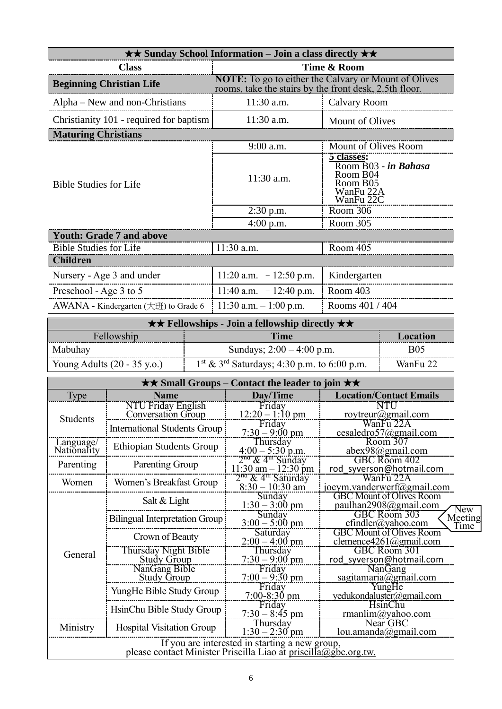| <b>★★ Sunday School Information – Join a class directly ★★</b> |                                                                                                                       |                                                                                      |  |  |  |
|----------------------------------------------------------------|-----------------------------------------------------------------------------------------------------------------------|--------------------------------------------------------------------------------------|--|--|--|
| <b>Class</b>                                                   | Time & Room                                                                                                           |                                                                                      |  |  |  |
| <b>Beginning Christian Life</b>                                | <b>NOTE:</b> To go to either the Calvary or Mount of Olives<br>rooms, take the stairs by the front desk, 2.5th floor. |                                                                                      |  |  |  |
| Alpha – New and non-Christians                                 | $11:30$ a.m.                                                                                                          | Calvary Room                                                                         |  |  |  |
| Christianity 101 - required for baptism                        | $11:30$ a.m.                                                                                                          | <b>Mount of Olives</b>                                                               |  |  |  |
| <b>Maturing Christians</b>                                     |                                                                                                                       |                                                                                      |  |  |  |
|                                                                | $9:00$ a.m.                                                                                                           | Mount of Olives Room                                                                 |  |  |  |
| <b>Bible Studies for Life</b>                                  | $11:30$ a.m.                                                                                                          | 5 classes:<br>Room B03 - in Bahasa<br>Room B04<br>Room B05<br>WanFu 22A<br>WanFu 22C |  |  |  |
|                                                                | $2:30$ p.m.                                                                                                           | Room 306                                                                             |  |  |  |
|                                                                | $4:00$ p.m.                                                                                                           | Room 305                                                                             |  |  |  |
| <b>Youth: Grade 7 and above</b>                                |                                                                                                                       |                                                                                      |  |  |  |
| <b>Bible Studies for Life</b>                                  | 11:30 a.m.                                                                                                            | Room 405                                                                             |  |  |  |
| <b>Children</b>                                                |                                                                                                                       |                                                                                      |  |  |  |
| Nursery - Age 3 and under                                      | 11:20 a.m. $-12:50$ p.m.                                                                                              | Kindergarten                                                                         |  |  |  |
| Preschool - Age 3 to 5                                         | 11:40 a.m. $-12:40$ p.m.                                                                                              | Room 403                                                                             |  |  |  |
| AWANA - Kindergarten $(\pm \text{H})$ to Grade 6               | 11:30 a.m. $-1:00$ p.m.                                                                                               | Rooms 401 / 404                                                                      |  |  |  |

| $\star \star$ Fellowships - Join a fellowship directly $\star \star$ |                                                           |            |  |  |
|----------------------------------------------------------------------|-----------------------------------------------------------|------------|--|--|
| Fellowship<br>Time<br>Location                                       |                                                           |            |  |  |
| Mabuhay                                                              | Sundays; $2:00 - 4:00$ p.m.                               | <b>B05</b> |  |  |
| Young Adults $(20 - 35 \text{ y.o.})$                                | $1st$ & 3 <sup>rd</sup> Saturdays; 4:30 p.m. to 6:00 p.m. | WanFu 22   |  |  |

| $\star\star$ Small Groups – Contact the leader to join $\star\star$                                               |                                                 |                                                                           |                                                                  |                                     |  |
|-------------------------------------------------------------------------------------------------------------------|-------------------------------------------------|---------------------------------------------------------------------------|------------------------------------------------------------------|-------------------------------------|--|
| <b>Type</b>                                                                                                       | <b>Name</b>                                     | Day/Time                                                                  | <b>Location/Contact Emails</b>                                   |                                     |  |
| <b>Students</b>                                                                                                   | NTU Friday English<br><b>Conversation Group</b> | Friday<br>$12:20 - 1:10 \text{ pm}$                                       | NTU<br>roytreur@gmail.com                                        |                                     |  |
|                                                                                                                   | International Students Group                    | Friday<br>$7:30 - 9:00 \text{ pm}$                                        | WanFu 22A<br>cesaledro57@gmail.com                               |                                     |  |
| Language/<br>Nationality                                                                                          | <b>Ethiopian Students Group</b>                 | Thursday<br>$4:00 - 5:30$ p.m.<br>$2^{\text{na}}$ & 4 <sup>m</sup> Sunday | Room 307<br>abex98@gmail.com                                     |                                     |  |
| Parenting                                                                                                         | Parenting Group                                 | $11:30$ am $-12:30$ pm                                                    | GBC Room 402<br>rod syverson@hotmail.com                         |                                     |  |
| Women                                                                                                             | Women's Breakfast Group                         | 2 <sup>na</sup> & 4 <sup>th</sup> Saturday<br>$8:30 - 10:30$ am           | WanFu 22A<br>joeym.vanderwerf@gmail.com                          |                                     |  |
|                                                                                                                   | Salt $&$ Light                                  | Sunday<br>$1:30 - 3:00$ pm                                                | <b>GBC Mount of Olives Room</b><br>paulhan2908@gmail.com         |                                     |  |
|                                                                                                                   | Bilingual Interpretation Group                  | Sunday<br>$3:00 - 5:00$ pm                                                | GBC Room 303<br>$cfindler(a)$ yahoo.com                          | New<br>Meeting<br>Time <sup>'</sup> |  |
|                                                                                                                   | Crown of Beauty                                 | Saturday<br>$2:00 - 4:00$ pm                                              | <b>GBC</b> Mount of Olives Room<br>clemence $4261$ (a) gmail.com |                                     |  |
| General                                                                                                           | Thursday Night Bible<br><b>Study Group</b>      | Thursday<br>$7:30 - 9:00$ pm                                              | GBC Room 301<br>rod syverson@hotmail.com                         |                                     |  |
|                                                                                                                   | NanGang Bible<br><b>Study Group</b>             | Friday<br>$7:00 - 9:30$ pm                                                | NanGang<br>sagitamaria@gmail.com                                 |                                     |  |
|                                                                                                                   | YungHe Bible Study Group                        | Friday<br>$7:00 - 8:30$ pm                                                | YungHe<br>yedukondaluster@gmail.com                              |                                     |  |
|                                                                                                                   | HsinChu Bible Study Group                       | Friday<br>$7:30 - 8:45$ pm                                                | <b>HsinChu</b><br>rmanlim@yahoo.com                              |                                     |  |
| Ministry                                                                                                          | <b>Hospital Visitation Group</b>                | Thursday<br>$1:30 - 2:30$ pm                                              | Near GBC<br>lou.amanda@gmail.com                                 |                                     |  |
| If you are interested in starting a new group,<br>please contact Minister Priscilla Liao at priscilla@gbc.org.tw. |                                                 |                                                                           |                                                                  |                                     |  |